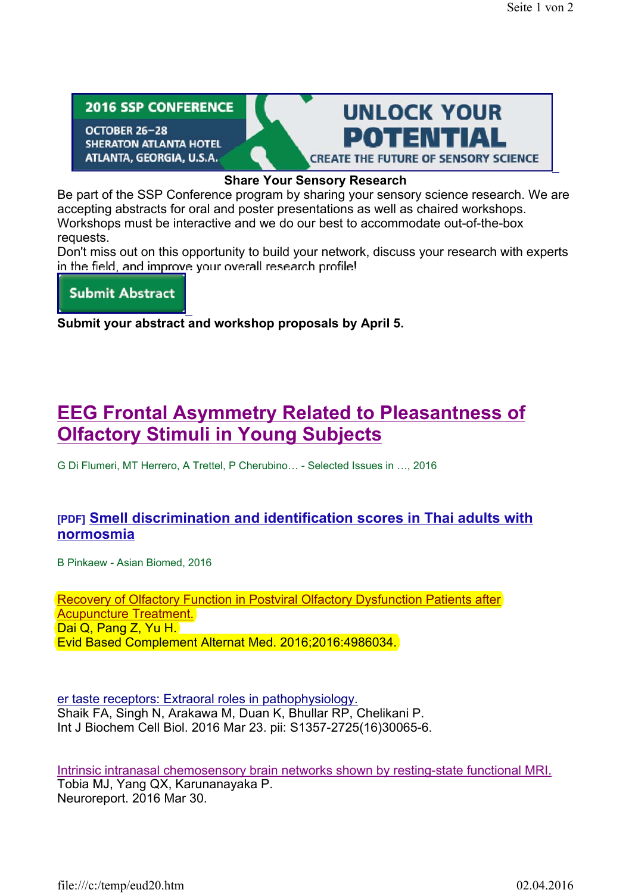**2016 SSP CONFERENCE** 

OCTOBER 26-28 **SHERATON ATLANTA HOTEL** ATLANTA, GEORGIA, U.S.A.



## **Share Your Sensory Research**

Be part of the SSP Conference program by sharing your sensory science research. We are accepting abstracts for oral and poster presentations as well as chaired workshops. Workshops must be interactive and we do our best to accommodate out-of-the-box requests.

Don't miss out on this opportunity to build your network, discuss your research with experts in the field, and improve your overall research profile!

**Submit Abstract** 

**Submit your abstract and workshop proposals by April 5.**

## **EEG Frontal Asymmetry Related to Pleasantness of Olfactory Stimuli in Young Subjects**

G Di Flumeri, MT Herrero, A Trettel, P Cherubino… - Selected Issues in …, 2016

## **[PDF] Smell discrimination and identification scores in Thai adults with normosmia**

B Pinkaew - Asian Biomed, 2016

Recovery of Olfactory Function in Postviral Olfactory Dysfunction Patients after Acupuncture Treatment. Dai Q, Pang Z, Yu H. Evid Based Complement Alternat Med. 2016;2016:4986034.

er taste receptors: Extraoral roles in pathophysiology. Shaik FA, Singh N, Arakawa M, Duan K, Bhullar RP, Chelikani P. Int J Biochem Cell Biol. 2016 Mar 23. pii: S1357-2725(16)30065-6.

Intrinsic intranasal chemosensory brain networks shown by resting-state functional MRI. Tobia MJ, Yang QX, Karunanayaka P. Neuroreport. 2016 Mar 30.